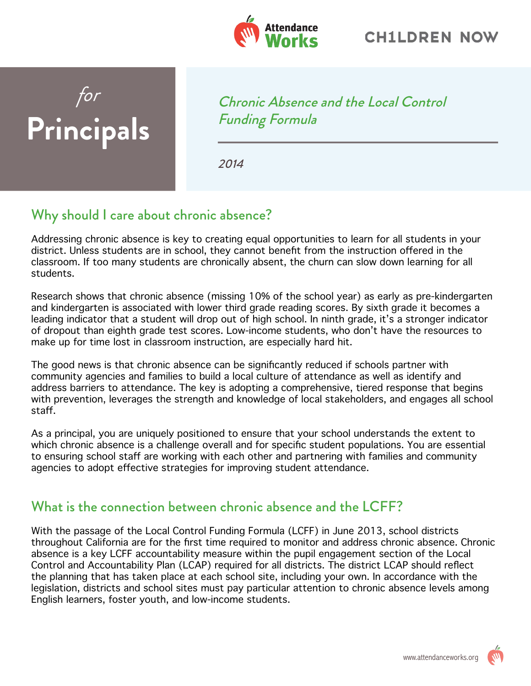

## *for* **Principals**

Chronic Absence and the Local Control Funding Formula

2014

## Why should I care about chronic absence?

Addressing chronic absence is key to creating equal opportunities to learn for all students in your district. Unless students are in school, they cannot benefit from the instruction offered in the classroom. If too many students are chronically absent, the churn can slow down learning for all students.

Research shows that chronic absence (missing 10% of the school year) as early as pre-kindergarten and kindergarten is associated with lower third grade reading scores. By sixth grade it becomes a leading indicator that a student will drop out of high school. In ninth grade, it's a stronger indicator of dropout than eighth grade test scores. Low-income students, who don't have the resources to make up for time lost in classroom instruction, are especially hard hit.

The good news is that chronic absence can be significantly reduced if schools partner with community agencies and families to build a local culture of attendance as well as identify and address barriers to attendance. The key is adopting a comprehensive, tiered response that begins with prevention, leverages the strength and knowledge of local stakeholders, and engages all school staff.

As a principal, you are uniquely positioned to ensure that your school understands the extent to which chronic absence is a challenge overall and for specific student populations. You are essential to ensuring school staff are working with each other and partnering with families and community agencies to adopt effective strategies for improving student attendance.

## What is the connection between chronic absence and the LCFF?

With the passage of the Local Control Funding Formula (LCFF) in June 2013, school districts throughout California are for the first time required to monitor and address chronic absence. Chronic absence is a key LCFF accountability measure within the pupil engagement section of the Local Control and Accountability Plan (LCAP) required for all districts. The district LCAP should reflect the planning that has taken place at each school site, including your own. In accordance with the legislation, districts and school sites must pay particular attention to chronic absence levels among English learners, foster youth, and low-income students.